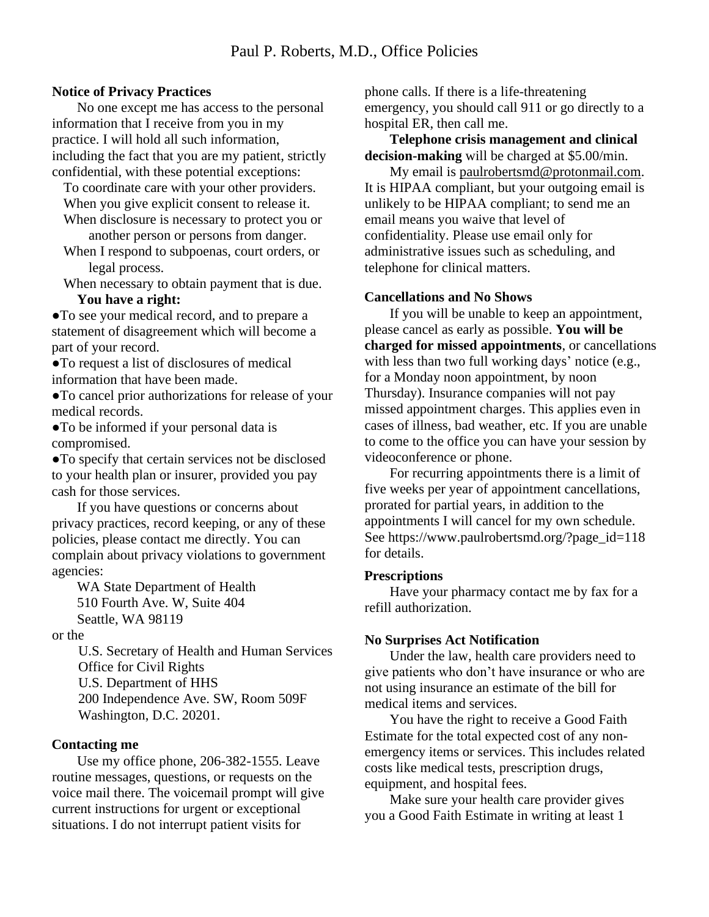# **Notice of Privacy Practices**

No one except me has access to the personal information that I receive from you in my practice. I will hold all such information, including the fact that you are my patient, strictly confidential, with these potential exceptions:

To coordinate care with your other providers. When you give explicit consent to release it.

When disclosure is necessary to protect you or another person or persons from danger.

When I respond to subpoenas, court orders, or legal process.

When necessary to obtain payment that is due.

# **You have a right:**

●To see your medical record, and to prepare a statement of disagreement which will become a part of your record.

●To request a list of disclosures of medical information that have been made.

●To cancel prior authorizations for release of your medical records.

●To be informed if your personal data is compromised.

●To specify that certain services not be disclosed to your health plan or insurer, provided you pay cash for those services.

If you have questions or concerns about privacy practices, record keeping, or any of these policies, please contact me directly. You can complain about privacy violations to government agencies:

WA State Department of Health 510 Fourth Ave. W, Suite 404 Seattle, WA 98119

or the

U.S. Secretary of Health and Human Services Office for Civil Rights U.S. Department of HHS 200 Independence Ave. SW, Room 509F Washington, D.C. 20201.

# **Contacting me**

Use my office phone, 206-382-1555. Leave routine messages, questions, or requests on the voice mail there. The voicemail prompt will give current instructions for urgent or exceptional situations. I do not interrupt patient visits for

phone calls. If there is a life-threatening emergency, you should call 911 or go directly to a hospital ER, then call me.

**Telephone crisis management and clinical decision-making** will be charged at \$5.00/min.

My email is paulrobertsmd@protonmail.com. It is HIPAA compliant, but your outgoing email is unlikely to be HIPAA compliant; to send me an email means you waive that level of confidentiality. Please use email only for administrative issues such as scheduling, and telephone for clinical matters.

#### **Cancellations and No Shows**

If you will be unable to keep an appointment, please cancel as early as possible. **You will be charged for missed appointments**, or cancellations with less than two full working days' notice (e.g., for a Monday noon appointment, by noon Thursday). Insurance companies will not pay missed appointment charges. This applies even in cases of illness, bad weather, etc. If you are unable to come to the office you can have your session by videoconference or phone.

For recurring appointments there is a limit of five weeks per year of appointment cancellations, prorated for partial years, in addition to the appointments I will cancel for my own schedule. See https://www.paulrobertsmd.org/?page\_id=118 for details.

# **Prescriptions**

Have your pharmacy contact me by fax for a refill authorization.

# **No Surprises Act Notification**

Under the law, health care providers need to give patients who don't have insurance or who are not using insurance an estimate of the bill for medical items and services.

You have the right to receive a Good Faith Estimate for the total expected cost of any nonemergency items or services. This includes related costs like medical tests, prescription drugs, equipment, and hospital fees.

Make sure your health care provider gives you a Good Faith Estimate in writing at least 1